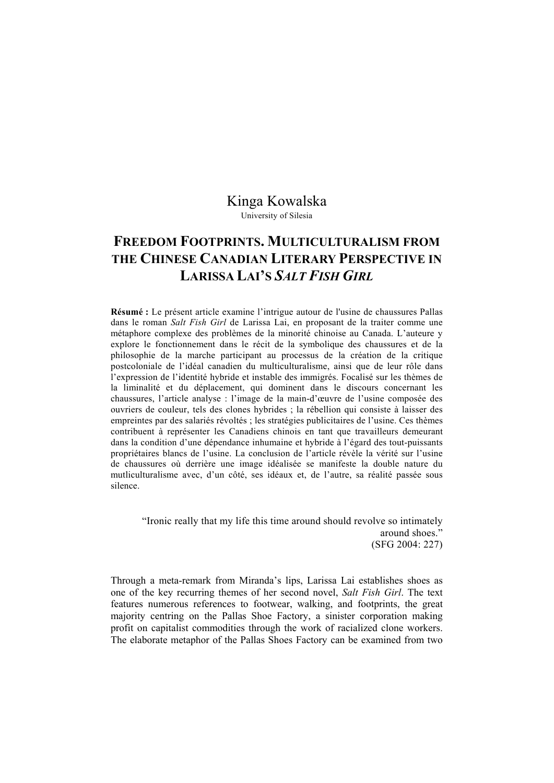## Kinga Kowalska

University of Silesia

## **FREEDOM FOOTPRINTS. MULTICULTURALISM FROM THE CHINESE CANADIAN LITERARY PERSPECTIVE IN LARISSA LAI'S** *SALT FISH GIRL*

**Résumé :** Le présent article examine l'intrigue autour de l'usine de chaussures Pallas dans le roman *Salt Fish Girl* de Larissa Lai, en proposant de la traiter comme une métaphore complexe des problèmes de la minorité chinoise au Canada. L'auteure y explore le fonctionnement dans le récit de la symbolique des chaussures et de la philosophie de la marche participant au processus de la création de la critique postcoloniale de l'idéal canadien du multiculturalisme, ainsi que de leur rôle dans l'expression de l'identité hybride et instable des immigrés. Focalisé sur les thèmes de la liminalité et du déplacement, qui dominent dans le discours concernant les chaussures, l'article analyse : l'image de la main-d'œuvre de l'usine composée des ouvriers de couleur, tels des clones hybrides ; la rébellion qui consiste à laisser des empreintes par des salariés révoltés ; les stratégies publicitaires de l'usine. Ces thèmes contribuent à représenter les Canadiens chinois en tant que travailleurs demeurant dans la condition d'une dépendance inhumaine et hybride à l'égard des tout-puissants propriétaires blancs de l'usine. La conclusion de l'article révèle la vérité sur l'usine de chaussures où derrière une image idéalisée se manifeste la double nature du mutliculturalisme avec, d'un côté, ses idéaux et, de l'autre, sa réalité passée sous silence.

"Ironic really that my life this time around should revolve so intimately around shoes." (SFG 2004: 227)

Through a meta-remark from Miranda's lips, Larissa Lai establishes shoes as one of the key recurring themes of her second novel, *Salt Fish Girl*. The text features numerous references to footwear, walking, and footprints, the great majority centring on the Pallas Shoe Factory, a sinister corporation making profit on capitalist commodities through the work of racialized clone workers. The elaborate metaphor of the Pallas Shoes Factory can be examined from two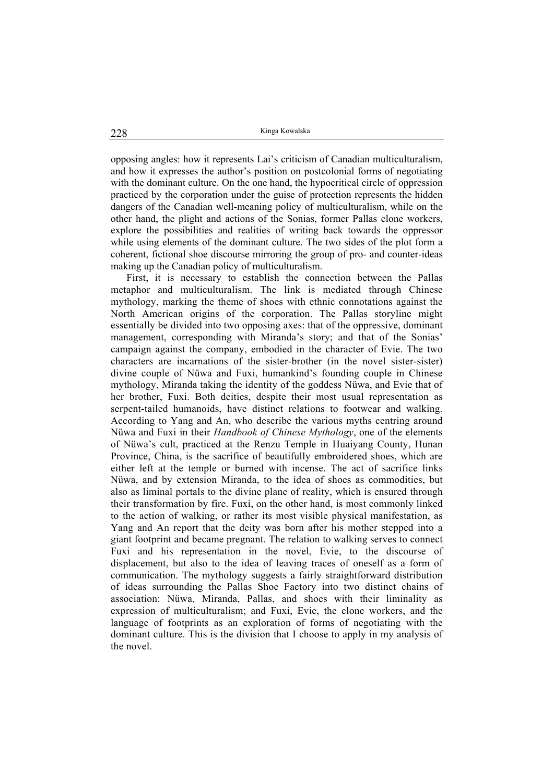opposing angles: how it represents Lai's criticism of Canadian multiculturalism, and how it expresses the author's position on postcolonial forms of negotiating with the dominant culture. On the one hand, the hypocritical circle of oppression practiced by the corporation under the guise of protection represents the hidden dangers of the Canadian well-meaning policy of multiculturalism, while on the other hand, the plight and actions of the Sonias, former Pallas clone workers, explore the possibilities and realities of writing back towards the oppressor while using elements of the dominant culture. The two sides of the plot form a coherent, fictional shoe discourse mirroring the group of pro- and counter-ideas making up the Canadian policy of multiculturalism.

First, it is necessary to establish the connection between the Pallas metaphor and multiculturalism. The link is mediated through Chinese mythology, marking the theme of shoes with ethnic connotations against the North American origins of the corporation. The Pallas storyline might essentially be divided into two opposing axes: that of the oppressive, dominant management, corresponding with Miranda's story; and that of the Sonias' campaign against the company, embodied in the character of Evie. The two characters are incarnations of the sister-brother (in the novel sister-sister) divine couple of Nüwa and Fuxi, humankind's founding couple in Chinese mythology, Miranda taking the identity of the goddess Nüwa, and Evie that of her brother, Fuxi. Both deities, despite their most usual representation as serpent-tailed humanoids, have distinct relations to footwear and walking. According to Yang and An, who describe the various myths centring around Nüwa and Fuxi in their *Handbook of Chinese Mythology*, one of the elements of Nüwa's cult, practiced at the Renzu Temple in Huaiyang County, Hunan Province, China, is the sacrifice of beautifully embroidered shoes, which are either left at the temple or burned with incense. The act of sacrifice links Nüwa, and by extension Miranda, to the idea of shoes as commodities, but also as liminal portals to the divine plane of reality, which is ensured through their transformation by fire. Fuxi, on the other hand, is most commonly linked to the action of walking, or rather its most visible physical manifestation, as Yang and An report that the deity was born after his mother stepped into a giant footprint and became pregnant. The relation to walking serves to connect Fuxi and his representation in the novel, Evie, to the discourse of displacement, but also to the idea of leaving traces of oneself as a form of communication. The mythology suggests a fairly straightforward distribution of ideas surrounding the Pallas Shoe Factory into two distinct chains of association: Nüwa, Miranda, Pallas, and shoes with their liminality as expression of multiculturalism; and Fuxi, Evie, the clone workers, and the language of footprints as an exploration of forms of negotiating with the dominant culture. This is the division that I choose to apply in my analysis of the novel.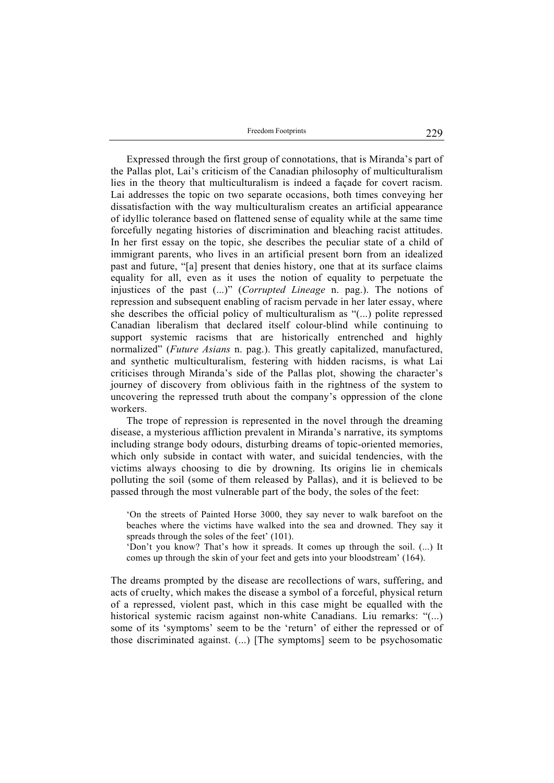Freedom Footprints 229

Expressed through the first group of connotations, that is Miranda's part of the Pallas plot, Lai's criticism of the Canadian philosophy of multiculturalism lies in the theory that multiculturalism is indeed a façade for covert racism. Lai addresses the topic on two separate occasions, both times conveying her dissatisfaction with the way multiculturalism creates an artificial appearance of idyllic tolerance based on flattened sense of equality while at the same time forcefully negating histories of discrimination and bleaching racist attitudes. In her first essay on the topic, she describes the peculiar state of a child of immigrant parents, who lives in an artificial present born from an idealized past and future, "[a] present that denies history, one that at its surface claims equality for all, even as it uses the notion of equality to perpetuate the injustices of the past (...)" (*Corrupted Lineage* n. pag.). The notions of repression and subsequent enabling of racism pervade in her later essay, where she describes the official policy of multiculturalism as "(...) polite repressed Canadian liberalism that declared itself colour-blind while continuing to support systemic racisms that are historically entrenched and highly normalized" (*Future Asians* n. pag.). This greatly capitalized, manufactured, and synthetic multiculturalism, festering with hidden racisms, is what Lai criticises through Miranda's side of the Pallas plot, showing the character's journey of discovery from oblivious faith in the rightness of the system to uncovering the repressed truth about the company's oppression of the clone workers.

The trope of repression is represented in the novel through the dreaming disease, a mysterious affliction prevalent in Miranda's narrative, its symptoms including strange body odours, disturbing dreams of topic-oriented memories, which only subside in contact with water, and suicidal tendencies, with the victims always choosing to die by drowning. Its origins lie in chemicals polluting the soil (some of them released by Pallas), and it is believed to be passed through the most vulnerable part of the body, the soles of the feet:

'On the streets of Painted Horse 3000, they say never to walk barefoot on the beaches where the victims have walked into the sea and drowned. They say it spreads through the soles of the feet' (101).

'Don't you know? That's how it spreads. It comes up through the soil. (...) It comes up through the skin of your feet and gets into your bloodstream' (164).

The dreams prompted by the disease are recollections of wars, suffering, and acts of cruelty, which makes the disease a symbol of a forceful, physical return of a repressed, violent past, which in this case might be equalled with the historical systemic racism against non-white Canadians. Liu remarks: "(...) some of its 'symptoms' seem to be the 'return' of either the repressed or of those discriminated against. (...) [The symptoms] seem to be psychosomatic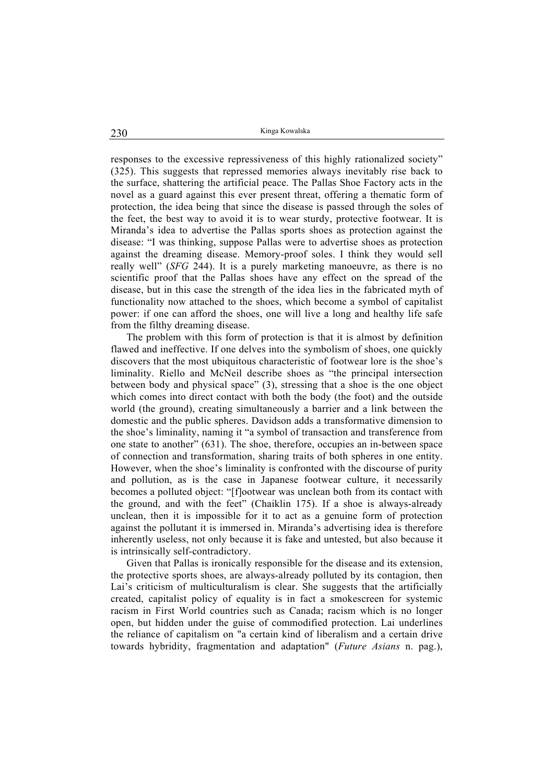responses to the excessive repressiveness of this highly rationalized society" (325). This suggests that repressed memories always inevitably rise back to the surface, shattering the artificial peace. The Pallas Shoe Factory acts in the novel as a guard against this ever present threat, offering a thematic form of protection, the idea being that since the disease is passed through the soles of the feet, the best way to avoid it is to wear sturdy, protective footwear. It is Miranda's idea to advertise the Pallas sports shoes as protection against the disease: "I was thinking, suppose Pallas were to advertise shoes as protection against the dreaming disease. Memory-proof soles. I think they would sell really well" (*SFG* 244). It is a purely marketing manoeuvre, as there is no scientific proof that the Pallas shoes have any effect on the spread of the disease, but in this case the strength of the idea lies in the fabricated myth of functionality now attached to the shoes, which become a symbol of capitalist power: if one can afford the shoes, one will live a long and healthy life safe from the filthy dreaming disease.

The problem with this form of protection is that it is almost by definition flawed and ineffective. If one delves into the symbolism of shoes, one quickly discovers that the most ubiquitous characteristic of footwear lore is the shoe's liminality. Riello and McNeil describe shoes as "the principal intersection between body and physical space" (3), stressing that a shoe is the one object which comes into direct contact with both the body (the foot) and the outside world (the ground), creating simultaneously a barrier and a link between the domestic and the public spheres. Davidson adds a transformative dimension to the shoe's liminality, naming it "a symbol of transaction and transference from one state to another" (631). The shoe, therefore, occupies an in-between space of connection and transformation, sharing traits of both spheres in one entity. However, when the shoe's liminality is confronted with the discourse of purity and pollution, as is the case in Japanese footwear culture, it necessarily becomes a polluted object: "[f]ootwear was unclean both from its contact with the ground, and with the feet" (Chaiklin 175). If a shoe is always-already unclean, then it is impossible for it to act as a genuine form of protection against the pollutant it is immersed in. Miranda's advertising idea is therefore inherently useless, not only because it is fake and untested, but also because it is intrinsically self-contradictory.

Given that Pallas is ironically responsible for the disease and its extension, the protective sports shoes, are always-already polluted by its contagion, then Lai's criticism of multiculturalism is clear. She suggests that the artificially created, capitalist policy of equality is in fact a smokescreen for systemic racism in First World countries such as Canada; racism which is no longer open, but hidden under the guise of commodified protection. Lai underlines the reliance of capitalism on "a certain kind of liberalism and a certain drive towards hybridity, fragmentation and adaptation" (*Future Asians* n. pag.),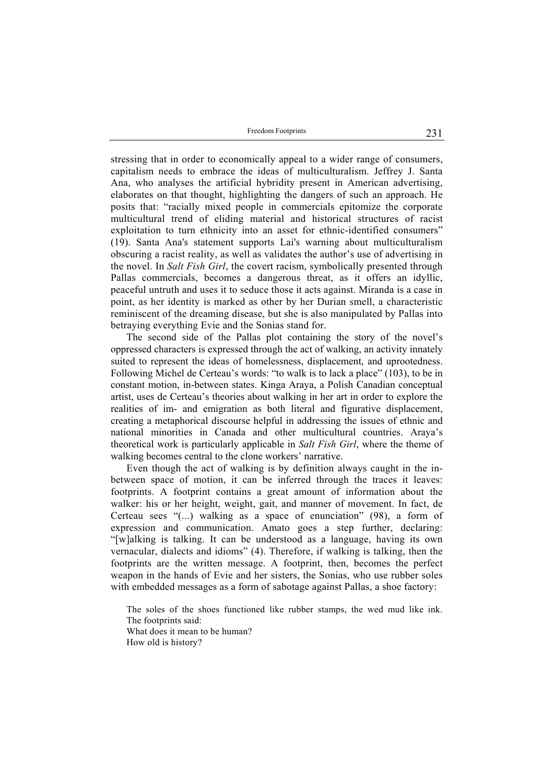Freedom Footprints 231

stressing that in order to economically appeal to a wider range of consumers, capitalism needs to embrace the ideas of multiculturalism. Jeffrey J. Santa Ana, who analyses the artificial hybridity present in American advertising, elaborates on that thought, highlighting the dangers of such an approach. He posits that: "racially mixed people in commercials epitomize the corporate multicultural trend of eliding material and historical structures of racist exploitation to turn ethnicity into an asset for ethnic-identified consumers" (19). Santa Ana's statement supports Lai's warning about multiculturalism obscuring a racist reality, as well as validates the author's use of advertising in the novel. In *Salt Fish Girl*, the covert racism, symbolically presented through Pallas commercials, becomes a dangerous threat, as it offers an idyllic, peaceful untruth and uses it to seduce those it acts against. Miranda is a case in point, as her identity is marked as other by her Durian smell, a characteristic reminiscent of the dreaming disease, but she is also manipulated by Pallas into betraying everything Evie and the Sonias stand for.

The second side of the Pallas plot containing the story of the novel's oppressed characters is expressed through the act of walking, an activity innately suited to represent the ideas of homelessness, displacement, and uprootedness. Following Michel de Certeau's words: "to walk is to lack a place" (103), to be in constant motion, in-between states. Kinga Araya, a Polish Canadian conceptual artist, uses de Certeau's theories about walking in her art in order to explore the realities of im- and emigration as both literal and figurative displacement, creating a metaphorical discourse helpful in addressing the issues of ethnic and national minorities in Canada and other multicultural countries. Araya's theoretical work is particularly applicable in *Salt Fish Girl*, where the theme of walking becomes central to the clone workers' narrative.

Even though the act of walking is by definition always caught in the inbetween space of motion, it can be inferred through the traces it leaves: footprints. A footprint contains a great amount of information about the walker: his or her height, weight, gait, and manner of movement. In fact, de Certeau sees "(...) walking as a space of enunciation" (98), a form of expression and communication. Amato goes a step further, declaring: "[w]alking is talking. It can be understood as a language, having its own vernacular, dialects and idioms" (4). Therefore, if walking is talking, then the footprints are the written message. A footprint, then, becomes the perfect weapon in the hands of Evie and her sisters, the Sonias, who use rubber soles with embedded messages as a form of sabotage against Pallas, a shoe factory:

The soles of the shoes functioned like rubber stamps, the wed mud like ink. The footprints said:

What does it mean to be human?

How old is history?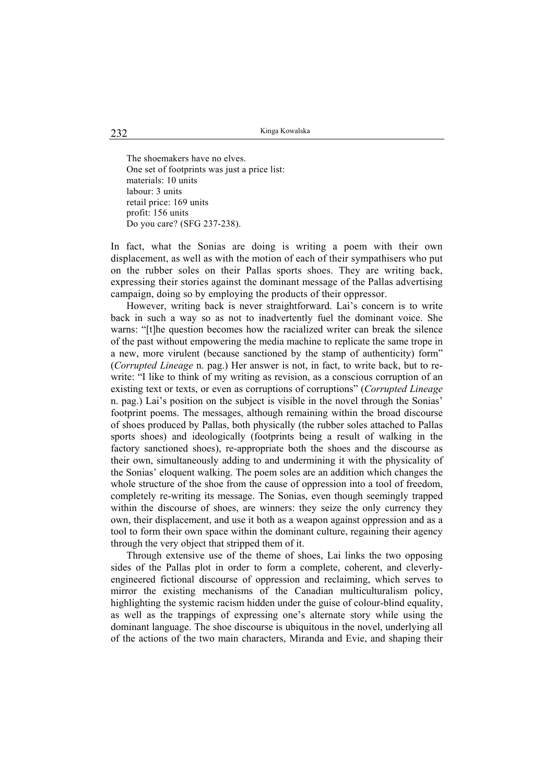The shoemakers have no elves. One set of footprints was just a price list: materials: 10 units labour: 3 units retail price: 169 units profit: 156 units Do you care? (SFG 237-238).

In fact, what the Sonias are doing is writing a poem with their own displacement, as well as with the motion of each of their sympathisers who put on the rubber soles on their Pallas sports shoes. They are writing back, expressing their stories against the dominant message of the Pallas advertising campaign, doing so by employing the products of their oppressor.

However, writing back is never straightforward. Lai's concern is to write back in such a way so as not to inadvertently fuel the dominant voice. She warns: "[t]he question becomes how the racialized writer can break the silence of the past without empowering the media machine to replicate the same trope in a new, more virulent (because sanctioned by the stamp of authenticity) form" (*Corrupted Lineage* n. pag.) Her answer is not, in fact, to write back, but to rewrite: "I like to think of my writing as revision, as a conscious corruption of an existing text or texts, or even as corruptions of corruptions" (*Corrupted Lineage* n. pag.) Lai's position on the subject is visible in the novel through the Sonias' footprint poems. The messages, although remaining within the broad discourse of shoes produced by Pallas, both physically (the rubber soles attached to Pallas sports shoes) and ideologically (footprints being a result of walking in the factory sanctioned shoes), re-appropriate both the shoes and the discourse as their own, simultaneously adding to and undermining it with the physicality of the Sonias' eloquent walking. The poem soles are an addition which changes the whole structure of the shoe from the cause of oppression into a tool of freedom, completely re-writing its message. The Sonias, even though seemingly trapped within the discourse of shoes, are winners: they seize the only currency they own, their displacement, and use it both as a weapon against oppression and as a tool to form their own space within the dominant culture, regaining their agency through the very object that stripped them of it.

Through extensive use of the theme of shoes, Lai links the two opposing sides of the Pallas plot in order to form a complete, coherent, and cleverlyengineered fictional discourse of oppression and reclaiming, which serves to mirror the existing mechanisms of the Canadian multiculturalism policy, highlighting the systemic racism hidden under the guise of colour-blind equality, as well as the trappings of expressing one's alternate story while using the dominant language. The shoe discourse is ubiquitous in the novel, underlying all of the actions of the two main characters, Miranda and Evie, and shaping their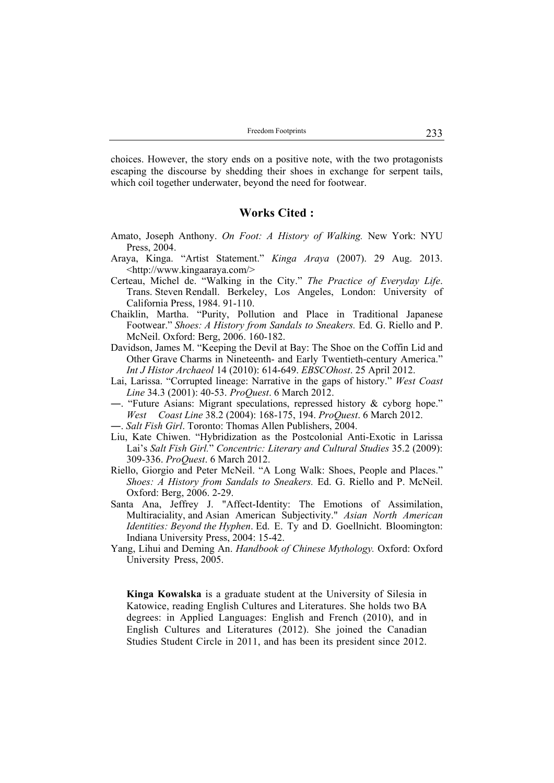choices. However, the story ends on a positive note, with the two protagonists escaping the discourse by shedding their shoes in exchange for serpent tails, which coil together underwater, beyond the need for footwear.

## **Works Cited :**

- Amato, Joseph Anthony. *On Foot: A History of Walking.* New York: NYU Press, 2004.
- Araya, Kinga. "Artist Statement." *Kinga Araya* (2007). 29 Aug. 2013. <http://www.kingaaraya.com/>
- Certeau, Michel de. "Walking in the City." *The Practice of Everyday Life*. Trans. Steven Rendall. Berkeley, Los Angeles, London: University of California Press, 1984. 91-110.
- Chaiklin, Martha. "Purity, Pollution and Place in Traditional Japanese Footwear." *Shoes: A History from Sandals to Sneakers.* Ed. G. Riello and P. McNeil. Oxford: Berg, 2006. 160-182.
- Davidson, James M. "Keeping the Devil at Bay: The Shoe on the Coffin Lid and Other Grave Charms in Nineteenth- and Early Twentieth-century America." *Int J Histor Archaeol* 14 (2010): 614-649. *EBSCOhost*. 25 April 2012.
- Lai, Larissa. "Corrupted lineage: Narrative in the gaps of history." *West Coast Line* 34.3 (2001): 40-53. *ProQuest*. 6 March 2012.
- ―. "Future Asians: Migrant speculations, repressed history & cyborg hope." *West Coast Line* 38.2 (2004): 168-175, 194. *ProQuest*. 6 March 2012.
- ―. *Salt Fish Girl*. Toronto: Thomas Allen Publishers, 2004.
- Liu, Kate Chiwen. "Hybridization as the Postcolonial Anti-Exotic in Larissa Lai's *Salt Fish Girl.*" *Concentric: Literary and Cultural Studies* 35.2 (2009): 309-336. *ProQuest*. 6 March 2012.
- Riello, Giorgio and Peter McNeil. "A Long Walk: Shoes, People and Places." *Shoes: A History from Sandals to Sneakers.* Ed. G. Riello and P. McNeil. Oxford: Berg, 2006. 2-29.
- Santa Ana, Jeffrey J. "Affect-Identity: The Emotions of Assimilation, Multiraciality, and Asian American Subjectivity." *Asian North American Identities: Beyond the Hyphen*. Ed. E. Ty and D. Goellnicht. Bloomington: Indiana University Press, 2004: 15-42.
- Yang, Lihui and Deming An. *Handbook of Chinese Mythology.* Oxford: Oxford University Press, 2005.

**Kinga Kowalska** is a graduate student at the University of Silesia in Katowice, reading English Cultures and Literatures. She holds two BA degrees: in Applied Languages: English and French (2010), and in English Cultures and Literatures (2012). She joined the Canadian Studies Student Circle in 2011, and has been its president since 2012.